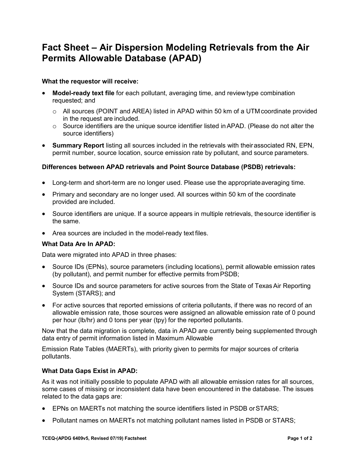# **Fact Sheet – Air Dispersion Modeling Retrievals from the Air Permits Allowable Database (APAD)**

### **What the requestor will receive:**

- **Model-ready text file** for each pollutant, averaging time, and reviewtype combination requested; and
	- o All sources (POINT and AREA) listed in APAD within 50 km of a UTMcoordinate provided in the request are included.
	- $\circ$  Source identifiers are the unique source identifier listed in APAD. (Please do not alter the source identifiers)
- **Summary Report** listing all sources included in the retrievals with theirassociated RN, EPN, permit number, source location, source emission rate by pollutant, and source parameters.

# **Differences between APAD retrievals and Point Source Database (PSDB) retrievals:**

- Long-term and short-term are no longer used. Please use the appropriate averaging time.
- Primary and secondary are no longer used. All sources within 50 km of the coordinate provided are included.
- Source identifiers are unique. If a source appears in multiple retrievals, the source identifier is the same.
- Area sources are included in the model-ready text files.

# **What Data Are In APAD:**

Data were migrated into APAD in three phases:

- Source IDs (EPNs), source parameters (including locations), permit allowable emission rates (by pollutant), and permit number for effective permits fromPSDB;
- Source IDs and source parameters for active sources from the State of Texas Air Reporting System (STARS); and
- For active sources that reported emissions of criteria pollutants, if there was no record of an allowable emission rate, those sources were assigned an allowable emission rate of 0 pound per hour (lb/hr) and 0 tons per year (tpy) for the reported pollutants.

Now that the data migration is complete, data in APAD are currently being supplemented through data entry of permit information listed in Maximum Allowable

Emission Rate Tables (MAERTs), with priority given to permits for major sources of criteria pollutants.

# **What Data Gaps Exist in APAD:**

As it was not initially possible to populate APAD with all allowable emission rates for all sources, some cases of missing or inconsistent data have been encountered in the database. The issues related to the data gaps are:

- EPNs on MAERTs not matching the source identifiers listed in PSDB orSTARS;
- Pollutant names on MAERTs not matching pollutant names listed in PSDB or STARS;